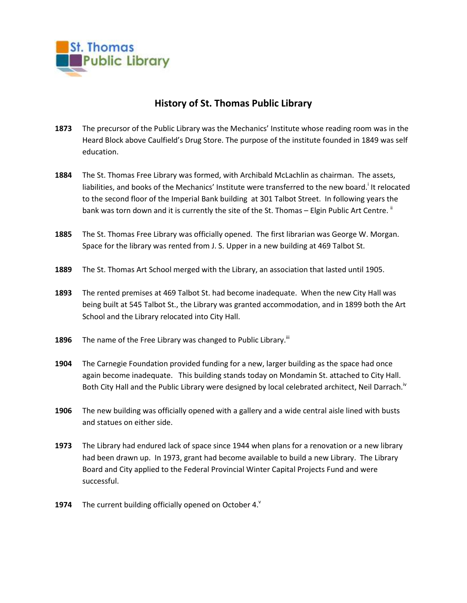

## **History of St. Thomas Public Library**

- **1873** The precursor of the Public Library was the Mechanics' Institute whose reading room was in the Heard Block above Caulfield's Drug Store. The purpose of the institute founded in 1849 was self education.
- **1884** The St. Thomas Free Library was formed, with Archibald McLachlin as chairman. The assets, liabilities, and books of the Mechanics' Institute were transferred to the new board.<sup>i</sup> It relocated to the second floor of the Imperial Bank building at 301 Talbot Street. In following years the bank was torn down and it is currently the site of the St. Thomas – Elgin Public Art Centre. "
- **1885** The St. Thomas Free Library was officially opened. The first librarian was George W. Morgan. Space for the library was rented from J. S. Upper in a new building at 469 Talbot St.
- **1889** The St. Thomas Art School merged with the Library, an association that lasted until 1905.
- **1893** The rented premises at 469 Talbot St. had become inadequate. When the new City Hall was being built at 545 Talbot St., the Library was granted accommodation, and in 1899 both the Art School and the Library relocated into City Hall.
- **1896** The name of the Free Library was changed to Public Library.<sup>iii</sup>
- **1904** The Carnegie Foundation provided funding for a new, larger building as the space had once again become inadequate. This building stands today on Mondamin St. attached to City Hall. Both City Hall and the Public Library were designed by local celebrated architect, Neil Darrach.<sup>iv</sup>
- **1906** The new building was officially opened with a gallery and a wide central aisle lined with busts and statues on either side.
- **1973** The Library had endured lack of space since 1944 when plans for a renovation or a new library had been drawn up. In 1973, grant had become available to build a new Library. The Library Board and City applied to the Federal Provincial Winter Capital Projects Fund and were successful.
- **1974** The current building officially opened on October 4.